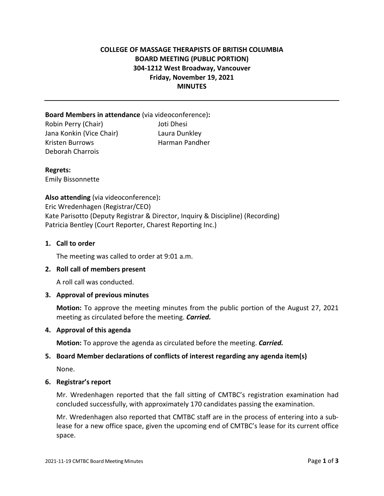# **COLLEGE OF MASSAGE THERAPISTS OF BRITISH COLUMBIA BOARD MEETING (PUBLIC PORTION) 304-1212 West Broadway, Vancouver Friday, November 19, 2021 MINUTES**

**Board Members in attendance** (via videoconference)**:**  Robin Perry (Chair) Joti Dhesi Jana Konkin (Vice Chair) Laura Dunkley Kristen Burrows **Harman Pandher** Deborah Charrois

**Regrets:**  Emily Bissonnette

**Also attending** (via videoconference)**:** Eric Wredenhagen (Registrar/CEO) Kate Parisotto (Deputy Registrar & Director, Inquiry & Discipline) (Recording) Patricia Bentley (Court Reporter, Charest Reporting Inc.)

## **1. Call to order**

The meeting was called to order at 9:01 a.m.

### **2. Roll call of members present**

A roll call was conducted.

### **3. Approval of previous minutes**

**Motion:** To approve the meeting minutes from the public portion of the August 27, 2021 meeting as circulated before the meeting. *Carried.*

### **4. Approval of this agenda**

**Motion:** To approve the agenda as circulated before the meeting. *Carried.*

## **5. Board Member declarations of conflicts of interest regarding any agenda item(s)**

None.

### **6. Registrar's report**

Mr. Wredenhagen reported that the fall sitting of CMTBC's registration examination had concluded successfully, with approximately 170 candidates passing the examination.

Mr. Wredenhagen also reported that CMTBC staff are in the process of entering into a sublease for a new office space, given the upcoming end of CMTBC's lease for its current office space.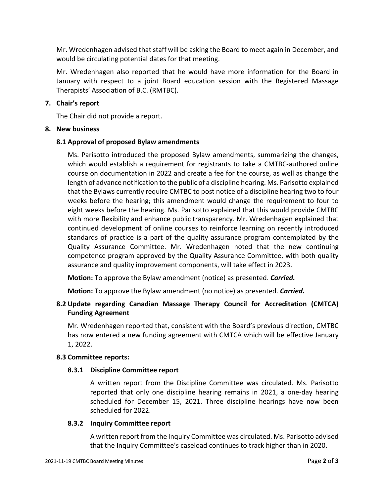Mr. Wredenhagen advised that staff will be asking the Board to meet again in December, and would be circulating potential dates for that meeting.

Mr. Wredenhagen also reported that he would have more information for the Board in January with respect to a joint Board education session with the Registered Massage Therapists' Association of B.C. (RMTBC).

# **7. Chair's report**

The Chair did not provide a report.

# **8. New business**

# **8.1 Approval of proposed Bylaw amendments**

Ms. Parisotto introduced the proposed Bylaw amendments, summarizing the changes, which would establish a requirement for registrants to take a CMTBC-authored online course on documentation in 2022 and create a fee for the course, as well as change the length of advance notification to the public of a discipline hearing. Ms. Parisotto explained that the Bylaws currently require CMTBC to post notice of a discipline hearing two to four weeks before the hearing; this amendment would change the requirement to four to eight weeks before the hearing. Ms. Parisotto explained that this would provide CMTBC with more flexibility and enhance public transparency. Mr. Wredenhagen explained that continued development of online courses to reinforce learning on recently introduced standards of practice is a part of the quality assurance program contemplated by the Quality Assurance Committee. Mr. Wredenhagen noted that the new continuing competence program approved by the Quality Assurance Committee, with both quality assurance and quality improvement components, will take effect in 2023.

**Motion:** To approve the Bylaw amendment (notice) as presented. *Carried.*

**Motion:** To approve the Bylaw amendment (no notice) as presented. *Carried.*

# **8.2 Update regarding Canadian Massage Therapy Council for Accreditation (CMTCA) Funding Agreement**

Mr. Wredenhagen reported that, consistent with the Board's previous direction, CMTBC has now entered a new funding agreement with CMTCA which will be effective January 1, 2022.

# **8.3 Committee reports:**

# **8.3.1 Discipline Committee report**

A written report from the Discipline Committee was circulated. Ms. Parisotto reported that only one discipline hearing remains in 2021, a one-day hearing scheduled for December 15, 2021. Three discipline hearings have now been scheduled for 2022.

# **8.3.2 Inquiry Committee report**

A written report from the Inquiry Committee was circulated. Ms. Parisotto advised that the Inquiry Committee's caseload continues to track higher than in 2020.